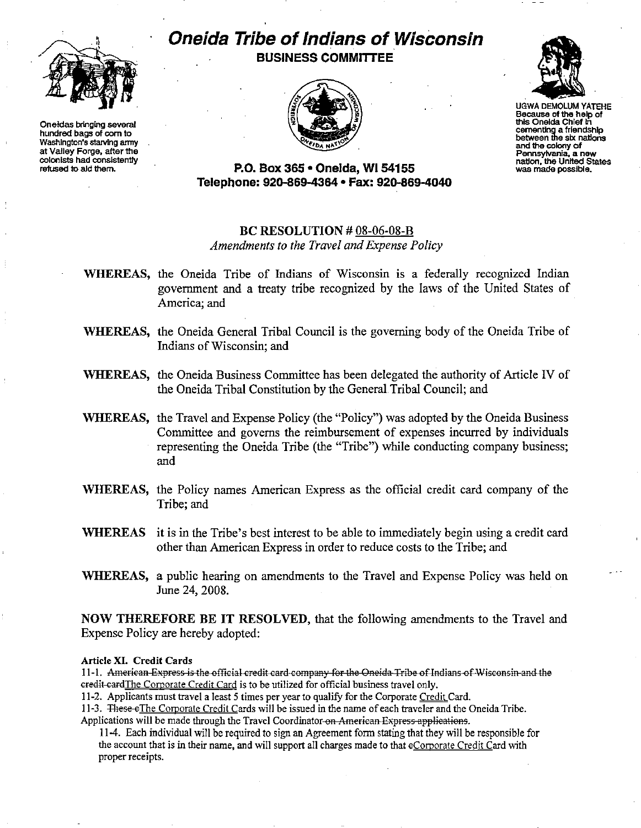

**Oneidas bringing several** hundred bags of corn to Washington's starving army at Valley Forge, after the colonists had consistently refused to ald them.

# Oneida Tribe of Indians of Wisconsin **BUSINESS COMMITTEE**





**UGWA DEMOLUM YATEHE** Because of the help of this Oneida Chief in cementing a friendship between the six nations and the colony of Pennsylvania, a new nation, the United States<br>was made possible.

P.O. Box 365 · Onelda, WI 54155 Telephone: 920-869-4364 · Fax: 920-869-4040

## BC RESOLUTION  $#08-06-08-B$ Amendments to the Travel and Expense Policy

- WHEREAS, the Oneida Tribe of Indians of Wisconsin is a federally recognized Indian government and a treaty tribe recognized by the laws of the United States of America: and
- WHEREAS, the Oneida General Tribal Council is the governing body of the Oneida Tribe of Indians of Wisconsin; and
- WHEREAS, the Oneida Business Committee has been delegated the authority of Article IV of the Oneida Tribal Constitution by the General Tribal Council; and
- WHEREAS, the Travel and Expense Policy (the "Policy") was adopted by the Oneida Business Committee and governs the reimbursement of expenses incurred by individuals representing the Oneida Tribe (the "Tribe") while conducting company business; and
- WHEREAS, the Policy names American Express as the official credit card company of the Tribe; and
- WHEREAS it is in the Tribe's best interest to be able to immediately begin using a credit card other than American Express in order to reduce costs to the Tribe; and
- WHEREAS, a public hearing on amendments to the Travel and Expense Policy was held on June 24, 2008.

NOW THEREFORE BE IT RESOLVED, that the following amendments to the Travel and Expense Policy are hereby adopted:

#### Article XI. Credit Cards

11-1. American Express is the official credit card company for the Oneida Tribe of Indians of Wisconsin and the eredit cardThe Corporate Credit Card is to be utilized for official business travel only.

11-2. Applicants must travel a least 5 times per year to qualify for the Corporate Credit Card.

11-3. These eThe Corporate Credit Cards will be issued in the name of each traveler and the Oneida Tribe. Applications will be made through the Travel Coordinator on American Express applications.

11-4. Each individual will be required to sign an Agreement form stating that they will be responsible for the account that is in their name, and will support all charges made to that eCorporate Credit Card with proper receipts.